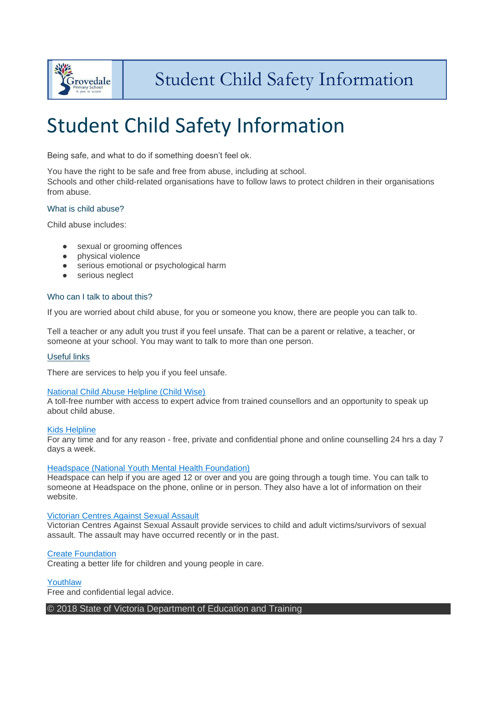

# Student Child Safety Information

Being safe, and what to do if something doesn't feel ok.

You have the right to be safe and free from abuse, including at school.

Schools and other child-related organisations have to follow laws to protect children in their organisations from abuse.

# What is child abuse?

Child abuse includes:

- sexual or grooming offences<br>● physical violence
- physical violence
- serious emotional or psychological harm
- **•** serious neglect

# Who can I talk to about this?

If you are worried about child abuse, for you or someone you know, there are people you can talk to.

Tell a teacher or any adult you trust if you feel unsafe. That can be a parent or relative, a teacher, or someone at your school. You may want to talk to more than one person.

#### Useful links

There are services to help you if you feel unsafe.

## [National Child Abuse Helpline \(Child Wise\)](https://www.childwise.org.au/page/66/child-wise-helpline)

A toll-free number with access to expert advice from trained counsellors and an opportunity to speak up about child abuse.

#### [Kids Helpline](http://www.kidshelp.com.au/)

For any time and for any reason - free, private and confidential phone and online counselling 24 hrs a day 7 days a week.

#### [Headspace \(National Youth Mental Health Foundation\)](http://headspace.org.au/)

Headspace can help if you are aged 12 or over and you are going through a tough time. You can talk to someone at Headspace on the phone, online or in person. They also have a lot of information on their website.

#### [Victorian Centres Against Sexual Assault](http://www.casa.org.au/survivors-and-friends/)

Victorian Centres Against Sexual Assault provide services to child and adult victims/survivors of sexual assault. The assault may have occurred recently or in the past.

#### [Create Foundation](http://www.create.org.au/)

Creating a better life for children and young people in care.

#### [Youthlaw](http://www.youthlaw.asn.au/)

Free and confidential legal advice.

## © 2018 State of Victoria Department of Education and Training